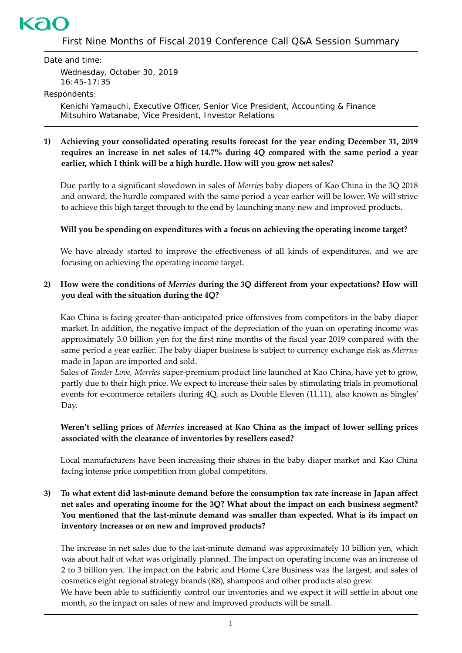# kac

First Nine Months of Fiscal 2019 Conference Call Q&A Session Summary

Date and time:

Wednesday, October 30, 2019 16:45-17:35

#### Respondents:

Kenichi Yamauchi, Executive Officer, Senior Vice President, Accounting & Finance Mitsuhiro Watanabe, Vice President, Investor Relations

### **1) Achieving your consolidated operating results forecast for the year ending December 31, 2019 requires an increase in net sales of 14.7% during 4Q compared with the same period a year earlier, which I think will be a high hurdle. How will you grow net sales?**

Due partly to a significant slowdown in sales of *Merries* baby diapers of Kao China in the 3Q 2018 and onward, the hurdle compared with the same period a year earlier will be lower. We will strive to achieve this high target through to the end by launching many new and improved products.

## **Will you be spending on expenditures with a focus on achieving the operating income target?**

We have already started to improve the effectiveness of all kinds of expenditures, and we are focusing on achieving the operating income target.

## **2) How were the conditions of** *Merries* **during the 3Q different from your expectations? How will you deal with the situation during the 4Q?**

Kao China is facing greater-than-anticipated price offensives from competitors in the baby diaper market. In addition, the negative impact of the depreciation of the yuan on operating income was approximately 3.0 billion yen for the first nine months of the fiscal year 2019 compared with the same period a year earlier. The baby diaper business is subject to currency exchange risk as *Merries* made in Japan are imported and sold.

Sales of *Tender Love, Merries* super-premium product line launched at Kao China, have yet to grow, partly due to their high price. We expect to increase their sales by stimulating trials in promotional events for e-commerce retailers during 4Q, such as Double Eleven (11.11), also known as Singles' Day.

## **Weren't selling prices of** *Merries* **increased at Kao China as the impact of lower selling prices associated with the clearance of inventories by resellers eased?**

Local manufacturers have been increasing their shares in the baby diaper market and Kao China facing intense price competition from global competitors.

## **3) To what extent did last-minute demand before the consumption tax rate increase in Japan affect net sales and operating income for the 3Q? What about the impact on each business segment? You mentioned that the last-minute demand was smaller than expected. What is its impact on inventory increases or on new and improved products?**

The increase in net sales due to the last-minute demand was approximately 10 billion yen, which was about half of what was originally planned. The impact on operating income was an increase of 2 to 3 billion yen. The impact on the Fabric and Home Care Business was the largest, and sales of cosmetics eight regional strategy brands (R8), shampoos and other products also grew.

We have been able to sufficiently control our inventories and we expect it will settle in about one month, so the impact on sales of new and improved products will be small.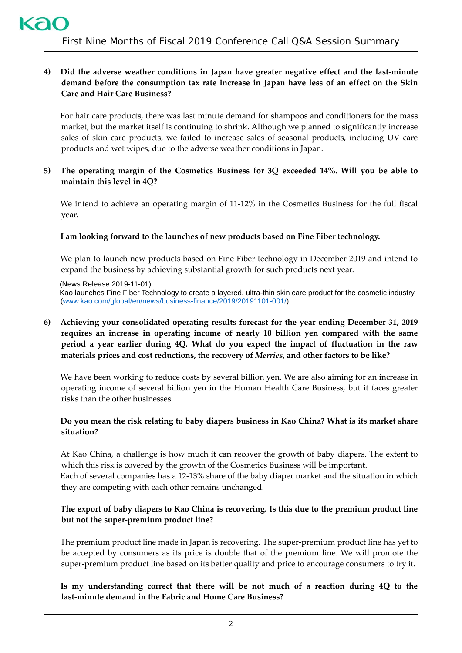## **4) Did the adverse weather conditions in Japan have greater negative effect and the last-minute demand before the consumption tax rate increase in Japan have less of an effect on the Skin Care and Hair Care Business?**

For hair care products, there was last minute demand for shampoos and conditioners for the mass market, but the market itself is continuing to shrink. Although we planned to significantly increase sales of skin care products, we failed to increase sales of seasonal products, including UV care products and wet wipes, due to the adverse weather conditions in Japan.

#### **5) The operating margin of the Cosmetics Business for 3Q exceeded 14%. Will you be able to maintain this level in 4Q?**

We intend to achieve an operating margin of 11-12% in the Cosmetics Business for the full fiscal year.

#### **I am looking forward to the launches of new products based on Fine Fiber technology.**

We plan to launch new products based on Fine Fiber technology in December 2019 and intend to expand the business by achieving substantial growth for such products next year.

(News Release 2019-11-01)

Kao launches Fine Fiber Technology to create a layered, ultra-thin skin care product for the cosmetic industry [\(www.kao.com/global/en/news/business-finance/2019/20191101-001/\)](http://www.kao.com/global/en/news/business-finance/2019/20191101-001/)

## **6) Achieving your consolidated operating results forecast for the year ending December 31, 2019 requires an increase in operating income of nearly 10 billion yen compared with the same period a year earlier during 4Q. What do you expect the impact of fluctuation in the raw materials prices and cost reductions, the recovery of** *Merries***, and other factors to be like?**

We have been working to reduce costs by several billion yen. We are also aiming for an increase in operating income of several billion yen in the Human Health Care Business, but it faces greater risks than the other businesses.

#### **Do you mean the risk relating to baby diapers business in Kao China? What is its market share situation?**

At Kao China, a challenge is how much it can recover the growth of baby diapers. The extent to which this risk is covered by the growth of the Cosmetics Business will be important. Each of several companies has a 12-13% share of the baby diaper market and the situation in which they are competing with each other remains unchanged.

## **The export of baby diapers to Kao China is recovering. Is this due to the premium product line but not the super-premium product line?**

The premium product line made in Japan is recovering. The super-premium product line has yet to be accepted by consumers as its price is double that of the premium line. We will promote the super-premium product line based on its better quality and price to encourage consumers to try it.

## **Is my understanding correct that there will be not much of a reaction during 4Q to the last-minute demand in the Fabric and Home Care Business?**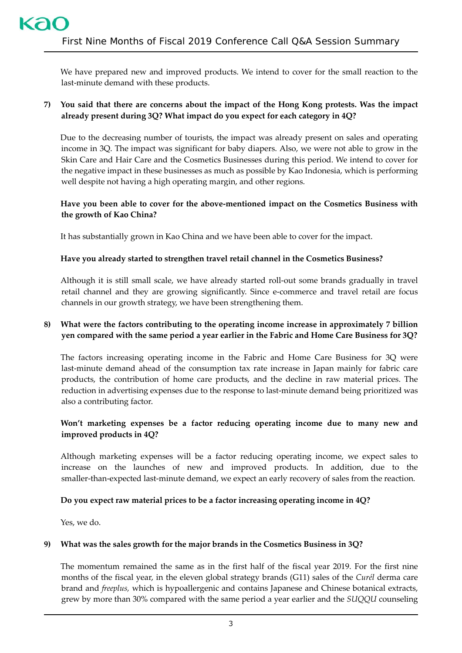We have prepared new and improved products. We intend to cover for the small reaction to the last-minute demand with these products.

## **7) You said that there are concerns about the impact of the Hong Kong protests. Was the impact already present during 3Q? What impact do you expect for each category in 4Q?**

Due to the decreasing number of tourists, the impact was already present on sales and operating income in 3Q. The impact was significant for baby diapers. Also, we were not able to grow in the Skin Care and Hair Care and the Cosmetics Businesses during this period. We intend to cover for the negative impact in these businesses as much as possible by Kao Indonesia, which is performing well despite not having a high operating margin, and other regions.

## **Have you been able to cover for the above-mentioned impact on the Cosmetics Business with the growth of Kao China?**

It has substantially grown in Kao China and we have been able to cover for the impact.

## **Have you already started to strengthen travel retail channel in the Cosmetics Business?**

Although it is still small scale, we have already started roll-out some brands gradually in travel retail channel and they are growing significantly. Since e-commerce and travel retail are focus channels in our growth strategy, we have been strengthening them.

## **8) What were the factors contributing to the operating income increase in approximately 7 billion yen compared with the same period a year earlier in the Fabric and Home Care Business for 3Q?**

The factors increasing operating income in the Fabric and Home Care Business for 3Q were last-minute demand ahead of the consumption tax rate increase in Japan mainly for fabric care products, the contribution of home care products, and the decline in raw material prices. The reduction in advertising expenses due to the response to last-minute demand being prioritized was also a contributing factor.

## **Won't marketing expenses be a factor reducing operating income due to many new and improved products in 4Q?**

Although marketing expenses will be a factor reducing operating income, we expect sales to increase on the launches of new and improved products. In addition, due to the smaller-than-expected last-minute demand, we expect an early recovery of sales from the reaction.

#### **Do you expect raw material prices to be a factor increasing operating income in 4Q?**

Yes, we do.

#### **9) What was the sales growth for the major brands in the Cosmetics Business in 3Q?**

The momentum remained the same as in the first half of the fiscal year 2019. For the first nine months of the fiscal year, in the eleven global strategy brands (G11) sales of the *Curél* derma care brand and *freeplus,* which is hypoallergenic and contains Japanese and Chinese botanical extracts, grew by more than 30% compared with the same period a year earlier and the *SUQQU* counseling